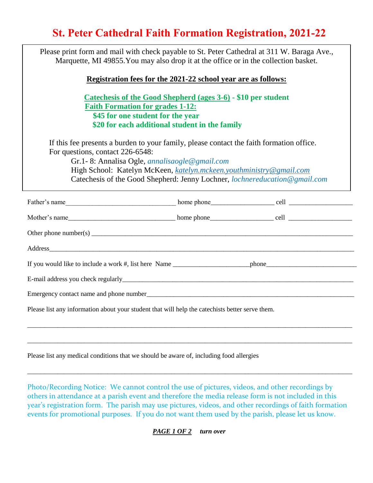## **St. Peter Cathedral Faith Formation Registration, 2021-22**

| Please print form and mail with check payable to St. Peter Cathedral at 311 W. Baraga Ave.,<br>Marquette, MI 49855. You may also drop it at the office or in the collection basket.                                                                                                                                                                |                                                |  |
|----------------------------------------------------------------------------------------------------------------------------------------------------------------------------------------------------------------------------------------------------------------------------------------------------------------------------------------------------|------------------------------------------------|--|
| Registration fees for the 2021-22 school year are as follows:                                                                                                                                                                                                                                                                                      |                                                |  |
| Catechesis of the Good Shepherd (ages 3-6) - \$10 per student<br><b>Faith Formation for grades 1-12:</b><br>\$45 for one student for the year                                                                                                                                                                                                      | \$20 for each additional student in the family |  |
| If this fee presents a burden to your family, please contact the faith formation office.<br>For questions, contact 226-6548:<br>Gr.1-8: Annalisa Ogle, <i>annalisaogle</i> @ gmail.com<br>High School: Katelyn McKeen, katelyn.mckeen.youthministry@gmail.com<br>Catechesis of the Good Shepherd: Jenny Lochner, <i>lochnereducation@gmail.com</i> |                                                |  |
|                                                                                                                                                                                                                                                                                                                                                    |                                                |  |
|                                                                                                                                                                                                                                                                                                                                                    |                                                |  |
| Other phone number(s) $\frac{1}{\sqrt{1-\frac{1}{n}}}\left\{ \frac{1}{n} \right\}$                                                                                                                                                                                                                                                                 |                                                |  |
|                                                                                                                                                                                                                                                                                                                                                    |                                                |  |
|                                                                                                                                                                                                                                                                                                                                                    |                                                |  |
|                                                                                                                                                                                                                                                                                                                                                    |                                                |  |
|                                                                                                                                                                                                                                                                                                                                                    |                                                |  |
| Please list any information about your student that will help the catechists better serve them.                                                                                                                                                                                                                                                    |                                                |  |
|                                                                                                                                                                                                                                                                                                                                                    |                                                |  |
|                                                                                                                                                                                                                                                                                                                                                    |                                                |  |

Please list any medical conditions that we should be aware of, including food allergies

Photo/Recording Notice: We cannot control the use of pictures, videos, and other recordings by others in attendance at a parish event and therefore the media release form is not included in this year's registration form. The parish may use pictures, videos, and other recordings of faith formation events for promotional purposes. If you do not want them used by the parish, please let us know.

\_\_\_\_\_\_\_\_\_\_\_\_\_\_\_\_\_\_\_\_\_\_\_\_\_\_\_\_\_\_\_\_\_\_\_\_\_\_\_\_\_\_\_\_\_\_\_\_\_\_\_\_\_\_\_\_\_\_\_\_\_\_\_\_\_\_\_\_\_\_\_\_\_\_\_\_\_\_\_\_\_\_\_\_\_\_\_\_\_\_\_\_\_\_\_\_\_

*PAGE 1 OF 2 turn over*